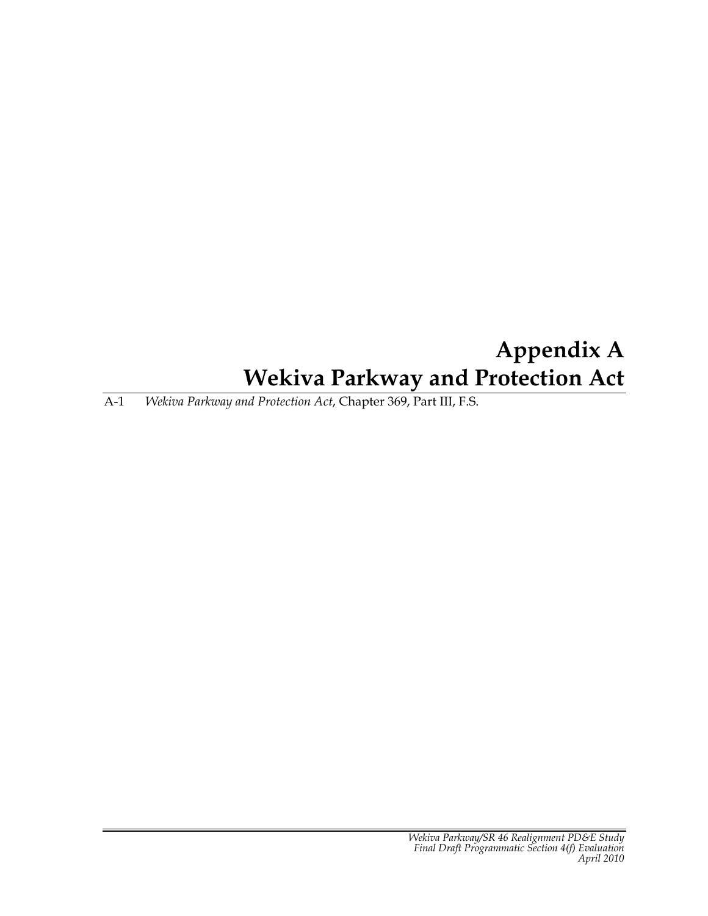# **Appendix A Wekiva Parkway and Protection Act**

A-1 *Wekiva Parkway and Protection Act*, Chapter 369, Part III, F.S.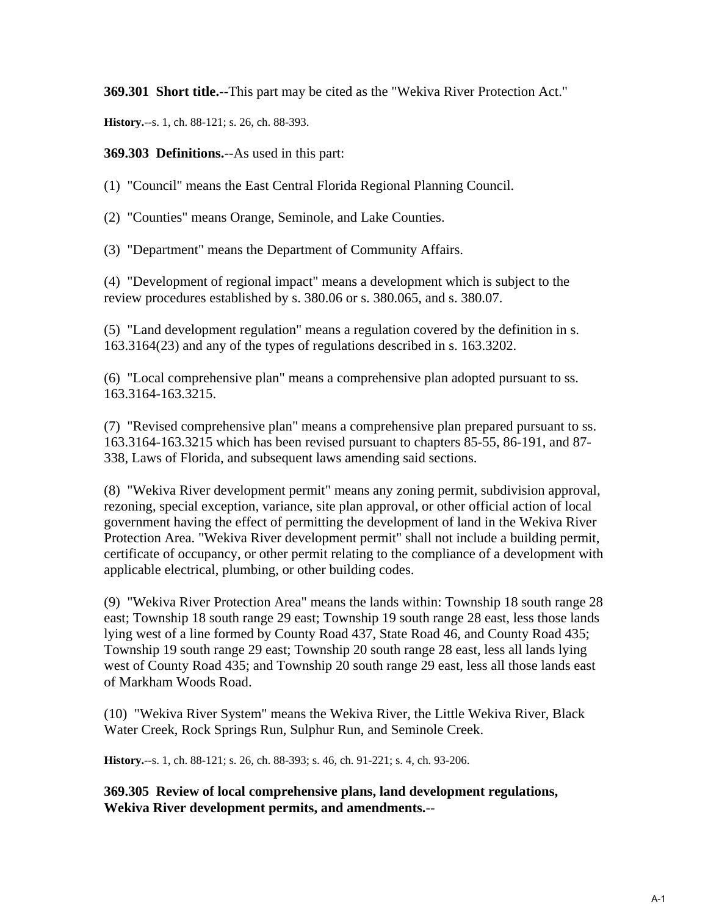**369.301 Short title.**--This part may be cited as the "Wekiva River Protection Act."

**History.**--s. 1, ch. 88-121; s. 26, ch. 88-393.

**369.303 Definitions.**--As used in this part:

(1) "Council" means the East Central Florida Regional Planning Council.

(2) "Counties" means Orange, Seminole, and Lake Counties.

(3) "Department" means the Department of Community Affairs.

(4) "Development of regional impact" means a development which is subject to the review procedures established by s. 380.06 or s. 380.065, and s. 380.07.

(5) "Land development regulation" means a regulation covered by the definition in s. 163.3164(23) and any of the types of regulations described in s. 163.3202.

(6) "Local comprehensive plan" means a comprehensive plan adopted pursuant to ss. 163.3164-163.3215.

(7) "Revised comprehensive plan" means a comprehensive plan prepared pursuant to ss. 163.3164-163.3215 which has been revised pursuant to chapters 85-55, 86-191, and 87- 338, Laws of Florida, and subsequent laws amending said sections.

(8) "Wekiva River development permit" means any zoning permit, subdivision approval, rezoning, special exception, variance, site plan approval, or other official action of local government having the effect of permitting the development of land in the Wekiva River Protection Area. "Wekiva River development permit" shall not include a building permit, certificate of occupancy, or other permit relating to the compliance of a development with applicable electrical, plumbing, or other building codes.

(9) "Wekiva River Protection Area" means the lands within: Township 18 south range 28 east; Township 18 south range 29 east; Township 19 south range 28 east, less those lands lying west of a line formed by County Road 437, State Road 46, and County Road 435; Township 19 south range 29 east; Township 20 south range 28 east, less all lands lying west of County Road 435; and Township 20 south range 29 east, less all those lands east of Markham Woods Road.

(10) "Wekiva River System" means the Wekiva River, the Little Wekiva River, Black Water Creek, Rock Springs Run, Sulphur Run, and Seminole Creek.

**History.**--s. 1, ch. 88-121; s. 26, ch. 88-393; s. 46, ch. 91-221; s. 4, ch. 93-206.

**369.305 Review of local comprehensive plans, land development regulations, Wekiva River development permits, and amendments.**--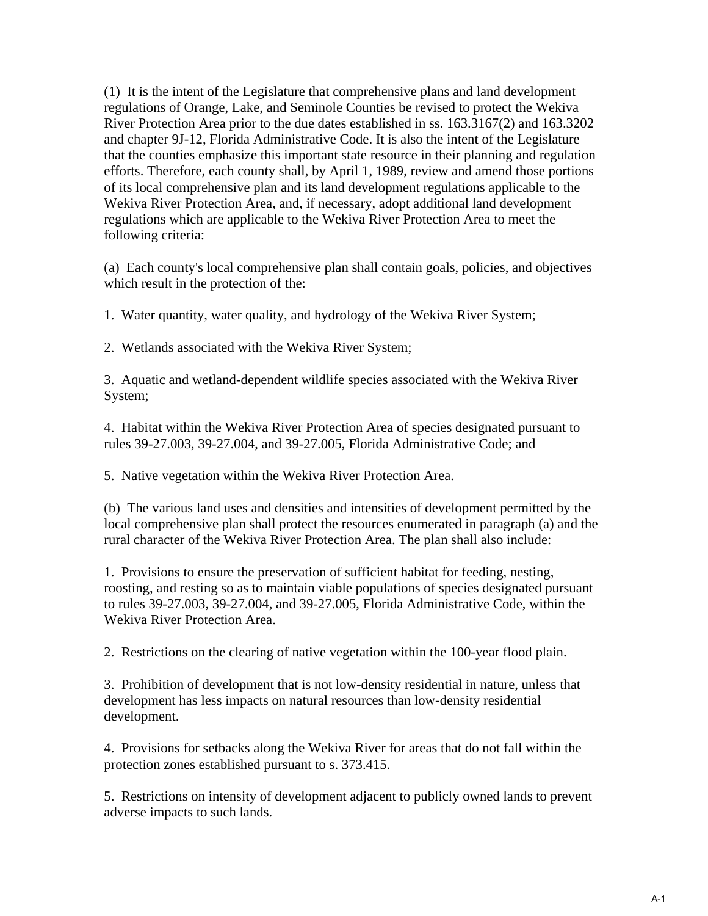(1) It is the intent of the Legislature that comprehensive plans and land development regulations of Orange, Lake, and Seminole Counties be revised to protect the Wekiva River Protection Area prior to the due dates established in ss. 163.3167(2) and 163.3202 and chapter 9J-12, Florida Administrative Code. It is also the intent of the Legislature that the counties emphasize this important state resource in their planning and regulation efforts. Therefore, each county shall, by April 1, 1989, review and amend those portions of its local comprehensive plan and its land development regulations applicable to the Wekiva River Protection Area, and, if necessary, adopt additional land development regulations which are applicable to the Wekiva River Protection Area to meet the following criteria:

(a) Each county's local comprehensive plan shall contain goals, policies, and objectives which result in the protection of the:

1. Water quantity, water quality, and hydrology of the Wekiva River System;

2. Wetlands associated with the Wekiva River System;

3. Aquatic and wetland-dependent wildlife species associated with the Wekiva River System;

4. Habitat within the Wekiva River Protection Area of species designated pursuant to rules 39-27.003, 39-27.004, and 39-27.005, Florida Administrative Code; and

5. Native vegetation within the Wekiva River Protection Area.

(b) The various land uses and densities and intensities of development permitted by the local comprehensive plan shall protect the resources enumerated in paragraph (a) and the rural character of the Wekiva River Protection Area. The plan shall also include:

1. Provisions to ensure the preservation of sufficient habitat for feeding, nesting, roosting, and resting so as to maintain viable populations of species designated pursuant to rules 39-27.003, 39-27.004, and 39-27.005, Florida Administrative Code, within the Wekiva River Protection Area.

2. Restrictions on the clearing of native vegetation within the 100-year flood plain.

3. Prohibition of development that is not low-density residential in nature, unless that development has less impacts on natural resources than low-density residential development.

4. Provisions for setbacks along the Wekiva River for areas that do not fall within the protection zones established pursuant to s. 373.415.

5. Restrictions on intensity of development adjacent to publicly owned lands to prevent adverse impacts to such lands.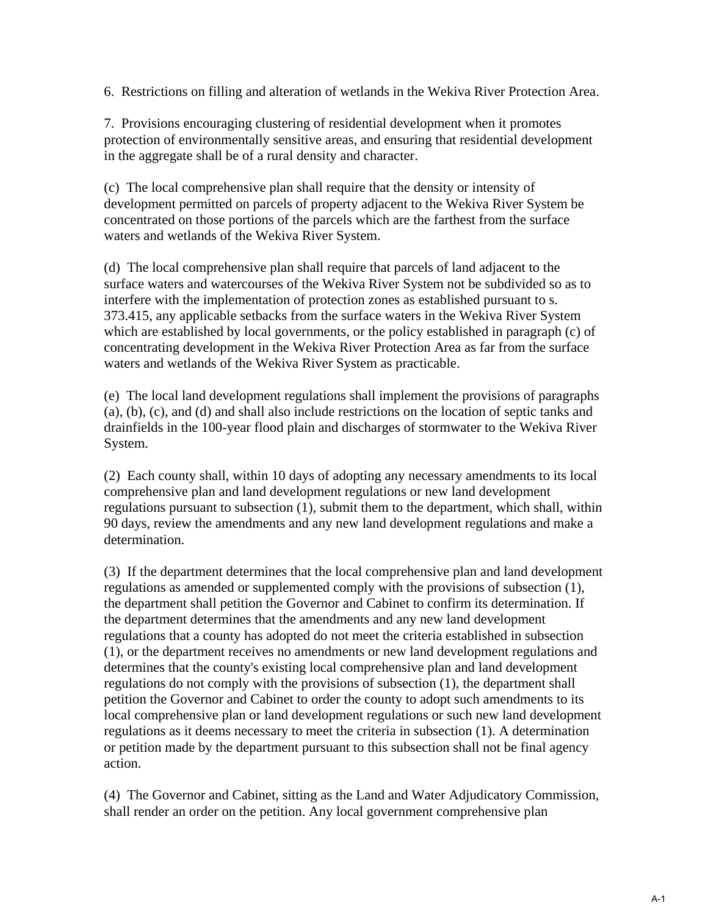6. Restrictions on filling and alteration of wetlands in the Wekiva River Protection Area.

7. Provisions encouraging clustering of residential development when it promotes protection of environmentally sensitive areas, and ensuring that residential development in the aggregate shall be of a rural density and character.

(c) The local comprehensive plan shall require that the density or intensity of development permitted on parcels of property adjacent to the Wekiva River System be concentrated on those portions of the parcels which are the farthest from the surface waters and wetlands of the Wekiva River System.

(d) The local comprehensive plan shall require that parcels of land adjacent to the surface waters and watercourses of the Wekiva River System not be subdivided so as to interfere with the implementation of protection zones as established pursuant to s. 373.415, any applicable setbacks from the surface waters in the Wekiva River System which are established by local governments, or the policy established in paragraph (c) of concentrating development in the Wekiva River Protection Area as far from the surface waters and wetlands of the Wekiva River System as practicable.

(e) The local land development regulations shall implement the provisions of paragraphs (a), (b), (c), and (d) and shall also include restrictions on the location of septic tanks and drainfields in the 100-year flood plain and discharges of stormwater to the Wekiva River System.

(2) Each county shall, within 10 days of adopting any necessary amendments to its local comprehensive plan and land development regulations or new land development regulations pursuant to subsection (1), submit them to the department, which shall, within 90 days, review the amendments and any new land development regulations and make a determination.

(3) If the department determines that the local comprehensive plan and land development regulations as amended or supplemented comply with the provisions of subsection (1), the department shall petition the Governor and Cabinet to confirm its determination. If the department determines that the amendments and any new land development regulations that a county has adopted do not meet the criteria established in subsection (1), or the department receives no amendments or new land development regulations and determines that the county's existing local comprehensive plan and land development regulations do not comply with the provisions of subsection (1), the department shall petition the Governor and Cabinet to order the county to adopt such amendments to its local comprehensive plan or land development regulations or such new land development regulations as it deems necessary to meet the criteria in subsection (1). A determination or petition made by the department pursuant to this subsection shall not be final agency action.

(4) The Governor and Cabinet, sitting as the Land and Water Adjudicatory Commission, shall render an order on the petition. Any local government comprehensive plan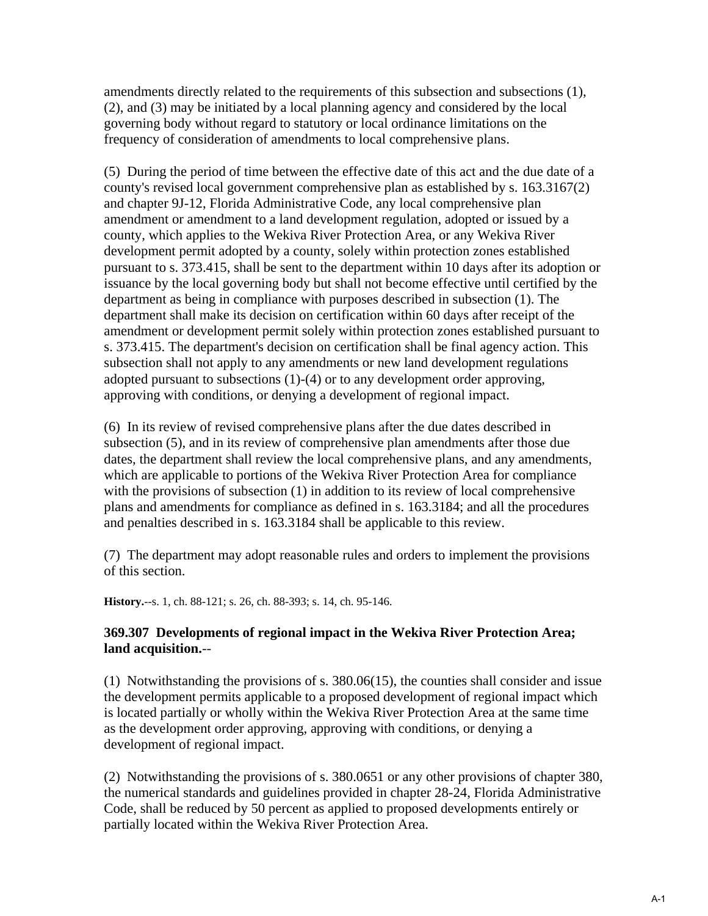amendments directly related to the requirements of this subsection and subsections (1), (2), and (3) may be initiated by a local planning agency and considered by the local governing body without regard to statutory or local ordinance limitations on the frequency of consideration of amendments to local comprehensive plans.

(5) During the period of time between the effective date of this act and the due date of a county's revised local government comprehensive plan as established by s. 163.3167(2) and chapter 9J-12, Florida Administrative Code, any local comprehensive plan amendment or amendment to a land development regulation, adopted or issued by a county, which applies to the Wekiva River Protection Area, or any Wekiva River development permit adopted by a county, solely within protection zones established pursuant to s. 373.415, shall be sent to the department within 10 days after its adoption or issuance by the local governing body but shall not become effective until certified by the department as being in compliance with purposes described in subsection (1). The department shall make its decision on certification within 60 days after receipt of the amendment or development permit solely within protection zones established pursuant to s. 373.415. The department's decision on certification shall be final agency action. This subsection shall not apply to any amendments or new land development regulations adopted pursuant to subsections (1)-(4) or to any development order approving, approving with conditions, or denying a development of regional impact.

(6) In its review of revised comprehensive plans after the due dates described in subsection (5), and in its review of comprehensive plan amendments after those due dates, the department shall review the local comprehensive plans, and any amendments, which are applicable to portions of the Wekiva River Protection Area for compliance with the provisions of subsection (1) in addition to its review of local comprehensive plans and amendments for compliance as defined in s. 163.3184; and all the procedures and penalties described in s. 163.3184 shall be applicable to this review.

(7) The department may adopt reasonable rules and orders to implement the provisions of this section.

**History.**--s. 1, ch. 88-121; s. 26, ch. 88-393; s. 14, ch. 95-146.

## **369.307 Developments of regional impact in the Wekiva River Protection Area; land acquisition.**--

(1) Notwithstanding the provisions of s. 380.06(15), the counties shall consider and issue the development permits applicable to a proposed development of regional impact which is located partially or wholly within the Wekiva River Protection Area at the same time as the development order approving, approving with conditions, or denying a development of regional impact.

(2) Notwithstanding the provisions of s. 380.0651 or any other provisions of chapter 380, the numerical standards and guidelines provided in chapter 28-24, Florida Administrative Code, shall be reduced by 50 percent as applied to proposed developments entirely or partially located within the Wekiva River Protection Area.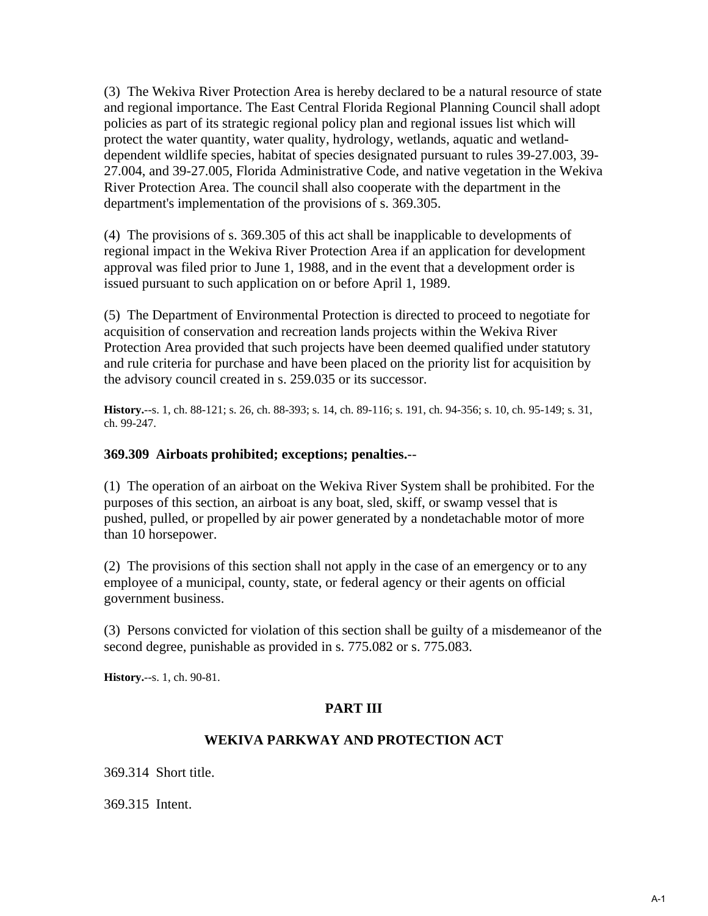(3) The Wekiva River Protection Area is hereby declared to be a natural resource of state and regional importance. The East Central Florida Regional Planning Council shall adopt policies as part of its strategic regional policy plan and regional issues list which will protect the water quantity, water quality, hydrology, wetlands, aquatic and wetlanddependent wildlife species, habitat of species designated pursuant to rules 39-27.003, 39- 27.004, and 39-27.005, Florida Administrative Code, and native vegetation in the Wekiva River Protection Area. The council shall also cooperate with the department in the department's implementation of the provisions of s. 369.305.

(4) The provisions of s. 369.305 of this act shall be inapplicable to developments of regional impact in the Wekiva River Protection Area if an application for development approval was filed prior to June 1, 1988, and in the event that a development order is issued pursuant to such application on or before April 1, 1989.

(5) The Department of Environmental Protection is directed to proceed to negotiate for acquisition of conservation and recreation lands projects within the Wekiva River Protection Area provided that such projects have been deemed qualified under statutory and rule criteria for purchase and have been placed on the priority list for acquisition by the advisory council created in s. 259.035 or its successor.

**History.**--s. 1, ch. 88-121; s. 26, ch. 88-393; s. 14, ch. 89-116; s. 191, ch. 94-356; s. 10, ch. 95-149; s. 31, ch. 99-247.

#### **369.309 Airboats prohibited; exceptions; penalties.**--

(1) The operation of an airboat on the Wekiva River System shall be prohibited. For the purposes of this section, an airboat is any boat, sled, skiff, or swamp vessel that is pushed, pulled, or propelled by air power generated by a nondetachable motor of more than 10 horsepower.

(2) The provisions of this section shall not apply in the case of an emergency or to any employee of a municipal, county, state, or federal agency or their agents on official government business.

(3) Persons convicted for violation of this section shall be guilty of a misdemeanor of the second degree, punishable as provided in s. 775.082 or s. 775.083.

**History.**--s. 1, ch. 90-81.

## **PART III**

#### **WEKIVA PARKWAY AND PROTECTION ACT**

369.314 Short title.

369.315 Intent.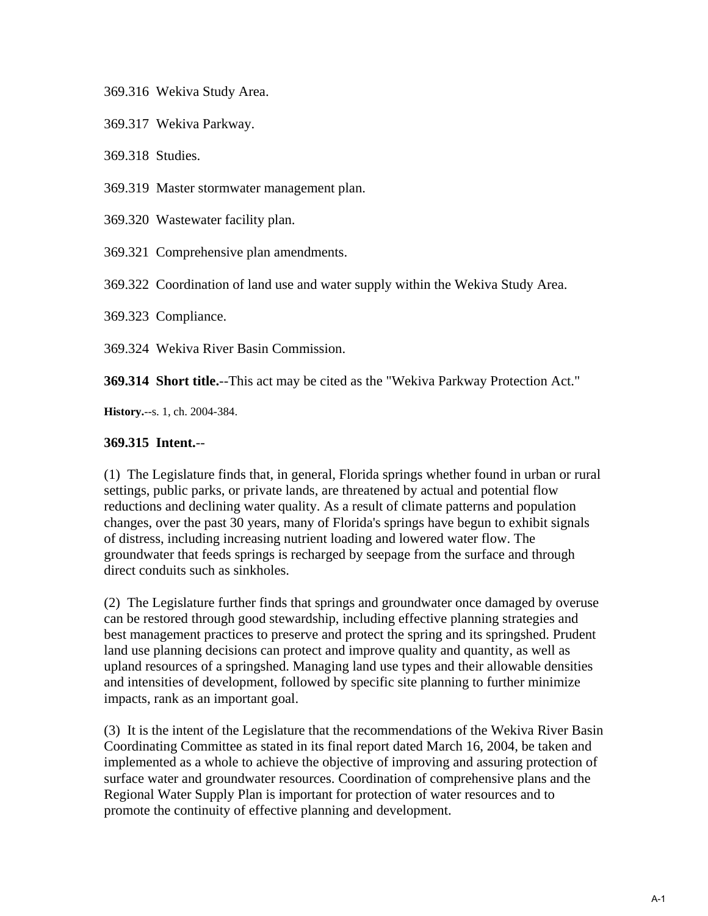369.316 Wekiva Study Area.

369.317 Wekiva Parkway.

369.318 Studies.

369.319 Master stormwater management plan.

369.320 Wastewater facility plan.

369.321 Comprehensive plan amendments.

369.322 Coordination of land use and water supply within the Wekiva Study Area.

369.323 Compliance.

369.324 Wekiva River Basin Commission.

**369.314 Short title.**--This act may be cited as the "Wekiva Parkway Protection Act."

**History.**--s. 1, ch. 2004-384.

#### **369.315 Intent.**--

(1) The Legislature finds that, in general, Florida springs whether found in urban or rural settings, public parks, or private lands, are threatened by actual and potential flow reductions and declining water quality. As a result of climate patterns and population changes, over the past 30 years, many of Florida's springs have begun to exhibit signals of distress, including increasing nutrient loading and lowered water flow. The groundwater that feeds springs is recharged by seepage from the surface and through direct conduits such as sinkholes.

(2) The Legislature further finds that springs and groundwater once damaged by overuse can be restored through good stewardship, including effective planning strategies and best management practices to preserve and protect the spring and its springshed. Prudent land use planning decisions can protect and improve quality and quantity, as well as upland resources of a springshed. Managing land use types and their allowable densities and intensities of development, followed by specific site planning to further minimize impacts, rank as an important goal.

(3) It is the intent of the Legislature that the recommendations of the Wekiva River Basin Coordinating Committee as stated in its final report dated March 16, 2004, be taken and implemented as a whole to achieve the objective of improving and assuring protection of surface water and groundwater resources. Coordination of comprehensive plans and the Regional Water Supply Plan is important for protection of water resources and to promote the continuity of effective planning and development.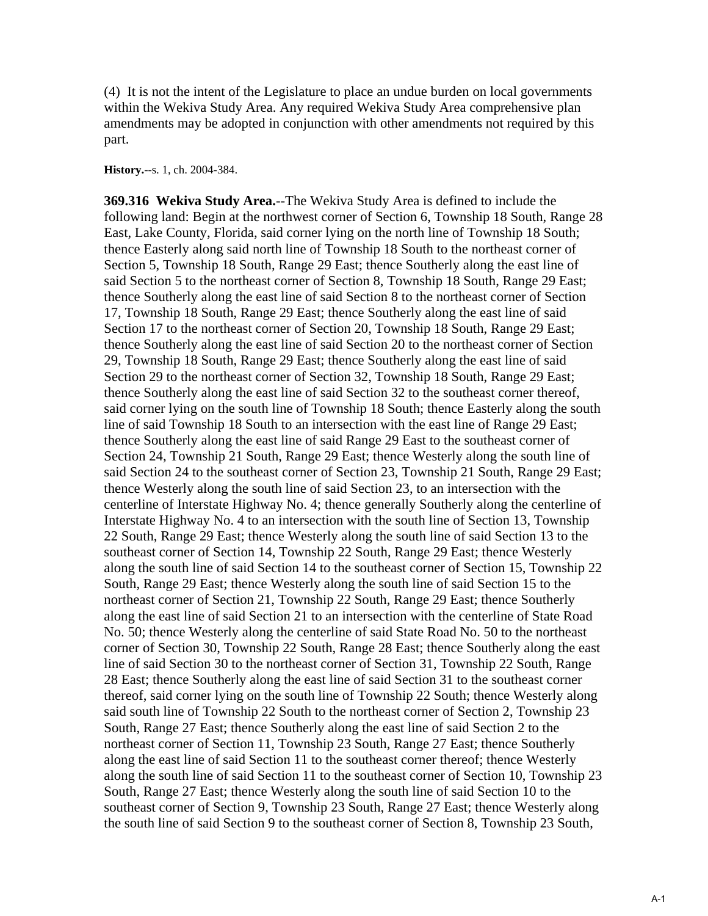(4) It is not the intent of the Legislature to place an undue burden on local governments within the Wekiva Study Area. Any required Wekiva Study Area comprehensive plan amendments may be adopted in conjunction with other amendments not required by this part.

**History.**--s. 1, ch. 2004-384.

**369.316 Wekiva Study Area.**--The Wekiva Study Area is defined to include the following land: Begin at the northwest corner of Section 6, Township 18 South, Range 28 East, Lake County, Florida, said corner lying on the north line of Township 18 South; thence Easterly along said north line of Township 18 South to the northeast corner of Section 5, Township 18 South, Range 29 East; thence Southerly along the east line of said Section 5 to the northeast corner of Section 8, Township 18 South, Range 29 East; thence Southerly along the east line of said Section 8 to the northeast corner of Section 17, Township 18 South, Range 29 East; thence Southerly along the east line of said Section 17 to the northeast corner of Section 20, Township 18 South, Range 29 East; thence Southerly along the east line of said Section 20 to the northeast corner of Section 29, Township 18 South, Range 29 East; thence Southerly along the east line of said Section 29 to the northeast corner of Section 32, Township 18 South, Range 29 East; thence Southerly along the east line of said Section 32 to the southeast corner thereof, said corner lying on the south line of Township 18 South; thence Easterly along the south line of said Township 18 South to an intersection with the east line of Range 29 East; thence Southerly along the east line of said Range 29 East to the southeast corner of Section 24, Township 21 South, Range 29 East; thence Westerly along the south line of said Section 24 to the southeast corner of Section 23, Township 21 South, Range 29 East; thence Westerly along the south line of said Section 23, to an intersection with the centerline of Interstate Highway No. 4; thence generally Southerly along the centerline of Interstate Highway No. 4 to an intersection with the south line of Section 13, Township 22 South, Range 29 East; thence Westerly along the south line of said Section 13 to the southeast corner of Section 14, Township 22 South, Range 29 East; thence Westerly along the south line of said Section 14 to the southeast corner of Section 15, Township 22 South, Range 29 East; thence Westerly along the south line of said Section 15 to the northeast corner of Section 21, Township 22 South, Range 29 East; thence Southerly along the east line of said Section 21 to an intersection with the centerline of State Road No. 50; thence Westerly along the centerline of said State Road No. 50 to the northeast corner of Section 30, Township 22 South, Range 28 East; thence Southerly along the east line of said Section 30 to the northeast corner of Section 31, Township 22 South, Range 28 East; thence Southerly along the east line of said Section 31 to the southeast corner thereof, said corner lying on the south line of Township 22 South; thence Westerly along said south line of Township 22 South to the northeast corner of Section 2, Township 23 South, Range 27 East; thence Southerly along the east line of said Section 2 to the northeast corner of Section 11, Township 23 South, Range 27 East; thence Southerly along the east line of said Section 11 to the southeast corner thereof; thence Westerly along the south line of said Section 11 to the southeast corner of Section 10, Township 23 South, Range 27 East; thence Westerly along the south line of said Section 10 to the southeast corner of Section 9, Township 23 South, Range 27 East; thence Westerly along the south line of said Section 9 to the southeast corner of Section 8, Township 23 South,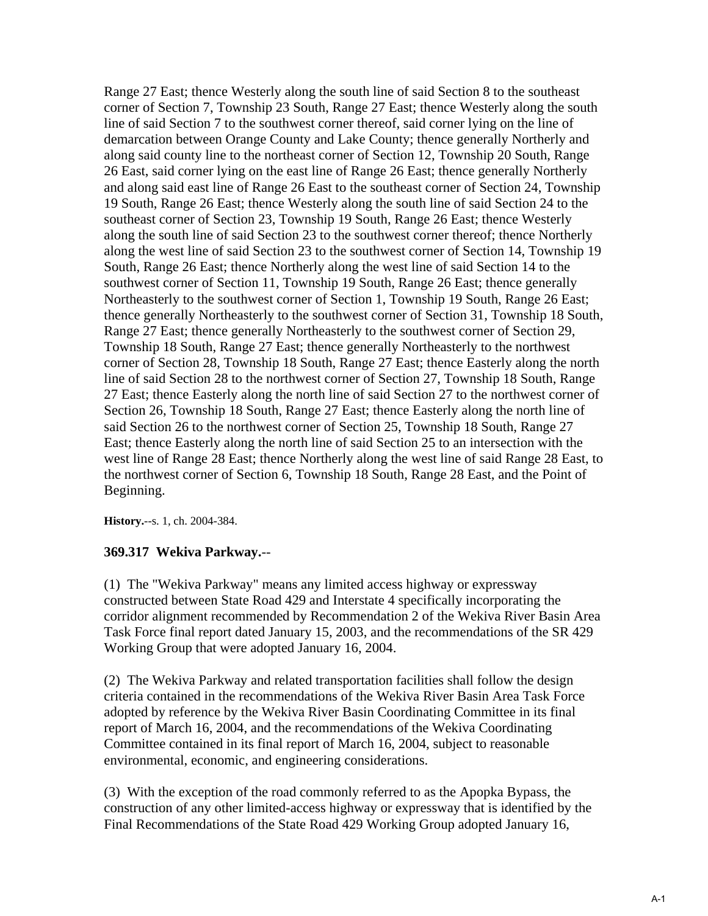Range 27 East; thence Westerly along the south line of said Section 8 to the southeast corner of Section 7, Township 23 South, Range 27 East; thence Westerly along the south line of said Section 7 to the southwest corner thereof, said corner lying on the line of demarcation between Orange County and Lake County; thence generally Northerly and along said county line to the northeast corner of Section 12, Township 20 South, Range 26 East, said corner lying on the east line of Range 26 East; thence generally Northerly and along said east line of Range 26 East to the southeast corner of Section 24, Township 19 South, Range 26 East; thence Westerly along the south line of said Section 24 to the southeast corner of Section 23, Township 19 South, Range 26 East; thence Westerly along the south line of said Section 23 to the southwest corner thereof; thence Northerly along the west line of said Section 23 to the southwest corner of Section 14, Township 19 South, Range 26 East; thence Northerly along the west line of said Section 14 to the southwest corner of Section 11, Township 19 South, Range 26 East; thence generally Northeasterly to the southwest corner of Section 1, Township 19 South, Range 26 East; thence generally Northeasterly to the southwest corner of Section 31, Township 18 South, Range 27 East; thence generally Northeasterly to the southwest corner of Section 29, Township 18 South, Range 27 East; thence generally Northeasterly to the northwest corner of Section 28, Township 18 South, Range 27 East; thence Easterly along the north line of said Section 28 to the northwest corner of Section 27, Township 18 South, Range 27 East; thence Easterly along the north line of said Section 27 to the northwest corner of Section 26, Township 18 South, Range 27 East; thence Easterly along the north line of said Section 26 to the northwest corner of Section 25, Township 18 South, Range 27 East; thence Easterly along the north line of said Section 25 to an intersection with the west line of Range 28 East; thence Northerly along the west line of said Range 28 East, to the northwest corner of Section 6, Township 18 South, Range 28 East, and the Point of Beginning.

**History.**--s. 1, ch. 2004-384.

#### **369.317 Wekiva Parkway.**--

(1) The "Wekiva Parkway" means any limited access highway or expressway constructed between State Road 429 and Interstate 4 specifically incorporating the corridor alignment recommended by Recommendation 2 of the Wekiva River Basin Area Task Force final report dated January 15, 2003, and the recommendations of the SR 429 Working Group that were adopted January 16, 2004.

(2) The Wekiva Parkway and related transportation facilities shall follow the design criteria contained in the recommendations of the Wekiva River Basin Area Task Force adopted by reference by the Wekiva River Basin Coordinating Committee in its final report of March 16, 2004, and the recommendations of the Wekiva Coordinating Committee contained in its final report of March 16, 2004, subject to reasonable environmental, economic, and engineering considerations.

(3) With the exception of the road commonly referred to as the Apopka Bypass, the construction of any other limited-access highway or expressway that is identified by the Final Recommendations of the State Road 429 Working Group adopted January 16,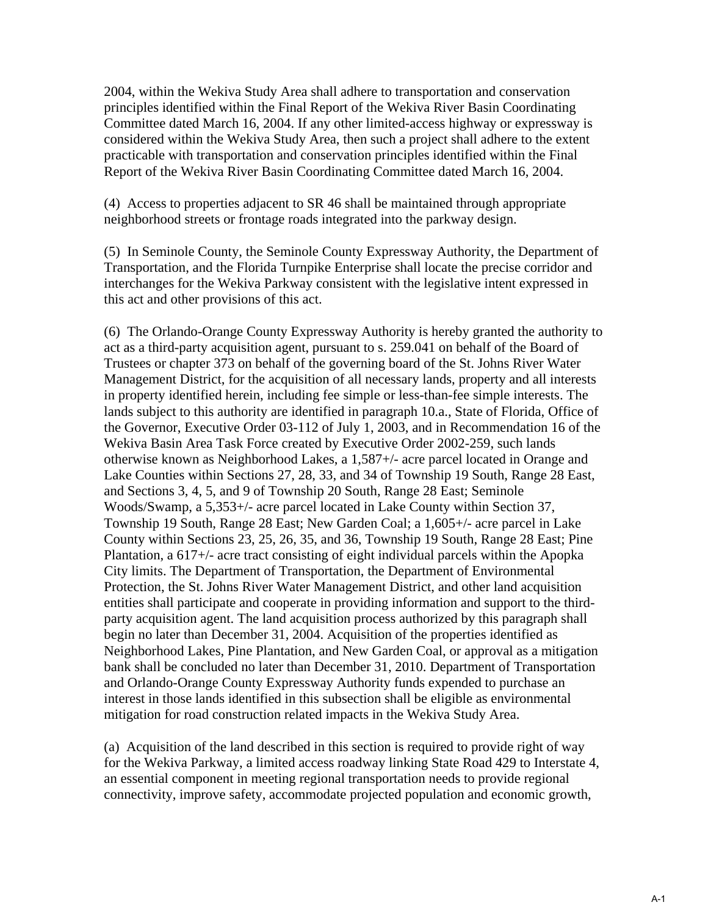2004, within the Wekiva Study Area shall adhere to transportation and conservation principles identified within the Final Report of the Wekiva River Basin Coordinating Committee dated March 16, 2004. If any other limited-access highway or expressway is considered within the Wekiva Study Area, then such a project shall adhere to the extent practicable with transportation and conservation principles identified within the Final Report of the Wekiva River Basin Coordinating Committee dated March 16, 2004.

(4) Access to properties adjacent to SR 46 shall be maintained through appropriate neighborhood streets or frontage roads integrated into the parkway design.

(5) In Seminole County, the Seminole County Expressway Authority, the Department of Transportation, and the Florida Turnpike Enterprise shall locate the precise corridor and interchanges for the Wekiva Parkway consistent with the legislative intent expressed in this act and other provisions of this act.

(6) The Orlando-Orange County Expressway Authority is hereby granted the authority to act as a third-party acquisition agent, pursuant to s. 259.041 on behalf of the Board of Trustees or chapter 373 on behalf of the governing board of the St. Johns River Water Management District, for the acquisition of all necessary lands, property and all interests in property identified herein, including fee simple or less-than-fee simple interests. The lands subject to this authority are identified in paragraph 10.a., State of Florida, Office of the Governor, Executive Order 03-112 of July 1, 2003, and in Recommendation 16 of the Wekiva Basin Area Task Force created by Executive Order 2002-259, such lands otherwise known as Neighborhood Lakes, a 1,587+/- acre parcel located in Orange and Lake Counties within Sections 27, 28, 33, and 34 of Township 19 South, Range 28 East, and Sections 3, 4, 5, and 9 of Township 20 South, Range 28 East; Seminole Woods/Swamp, a 5,353+/- acre parcel located in Lake County within Section 37, Township 19 South, Range 28 East; New Garden Coal; a 1,605+/- acre parcel in Lake County within Sections 23, 25, 26, 35, and 36, Township 19 South, Range 28 East; Pine Plantation, a 617+/- acre tract consisting of eight individual parcels within the Apopka City limits. The Department of Transportation, the Department of Environmental Protection, the St. Johns River Water Management District, and other land acquisition entities shall participate and cooperate in providing information and support to the thirdparty acquisition agent. The land acquisition process authorized by this paragraph shall begin no later than December 31, 2004. Acquisition of the properties identified as Neighborhood Lakes, Pine Plantation, and New Garden Coal, or approval as a mitigation bank shall be concluded no later than December 31, 2010. Department of Transportation and Orlando-Orange County Expressway Authority funds expended to purchase an interest in those lands identified in this subsection shall be eligible as environmental mitigation for road construction related impacts in the Wekiva Study Area.

(a) Acquisition of the land described in this section is required to provide right of way for the Wekiva Parkway, a limited access roadway linking State Road 429 to Interstate 4, an essential component in meeting regional transportation needs to provide regional connectivity, improve safety, accommodate projected population and economic growth,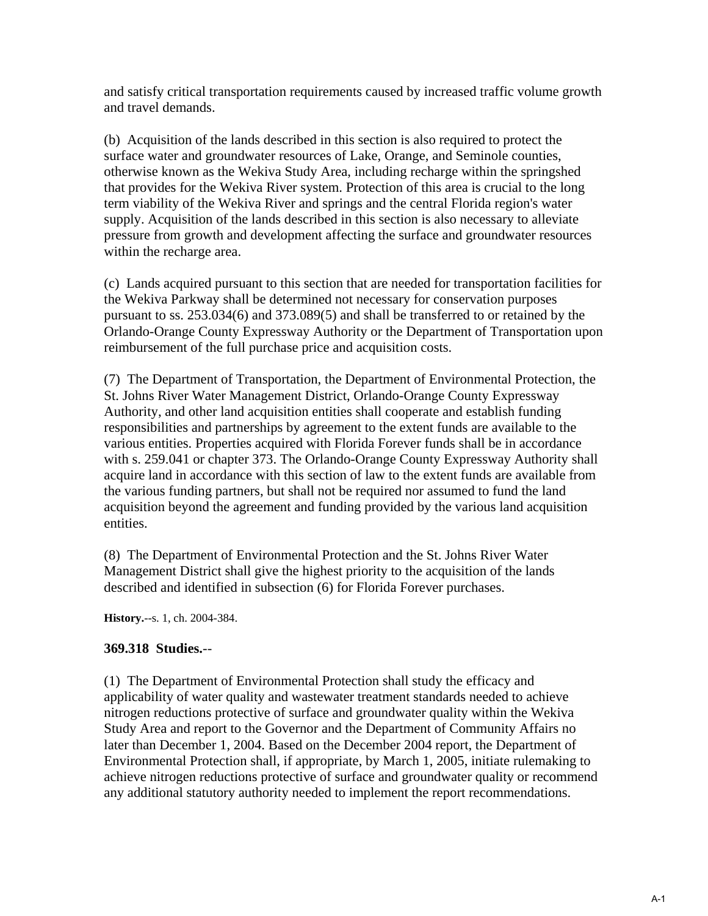and satisfy critical transportation requirements caused by increased traffic volume growth and travel demands.

(b) Acquisition of the lands described in this section is also required to protect the surface water and groundwater resources of Lake, Orange, and Seminole counties, otherwise known as the Wekiva Study Area, including recharge within the springshed that provides for the Wekiva River system. Protection of this area is crucial to the long term viability of the Wekiva River and springs and the central Florida region's water supply. Acquisition of the lands described in this section is also necessary to alleviate pressure from growth and development affecting the surface and groundwater resources within the recharge area.

(c) Lands acquired pursuant to this section that are needed for transportation facilities for the Wekiva Parkway shall be determined not necessary for conservation purposes pursuant to ss. 253.034(6) and 373.089(5) and shall be transferred to or retained by the Orlando-Orange County Expressway Authority or the Department of Transportation upon reimbursement of the full purchase price and acquisition costs.

(7) The Department of Transportation, the Department of Environmental Protection, the St. Johns River Water Management District, Orlando-Orange County Expressway Authority, and other land acquisition entities shall cooperate and establish funding responsibilities and partnerships by agreement to the extent funds are available to the various entities. Properties acquired with Florida Forever funds shall be in accordance with s. 259.041 or chapter 373. The Orlando-Orange County Expressway Authority shall acquire land in accordance with this section of law to the extent funds are available from the various funding partners, but shall not be required nor assumed to fund the land acquisition beyond the agreement and funding provided by the various land acquisition entities.

(8) The Department of Environmental Protection and the St. Johns River Water Management District shall give the highest priority to the acquisition of the lands described and identified in subsection (6) for Florida Forever purchases.

**History.**--s. 1, ch. 2004-384.

## **369.318 Studies.**--

(1) The Department of Environmental Protection shall study the efficacy and applicability of water quality and wastewater treatment standards needed to achieve nitrogen reductions protective of surface and groundwater quality within the Wekiva Study Area and report to the Governor and the Department of Community Affairs no later than December 1, 2004. Based on the December 2004 report, the Department of Environmental Protection shall, if appropriate, by March 1, 2005, initiate rulemaking to achieve nitrogen reductions protective of surface and groundwater quality or recommend any additional statutory authority needed to implement the report recommendations.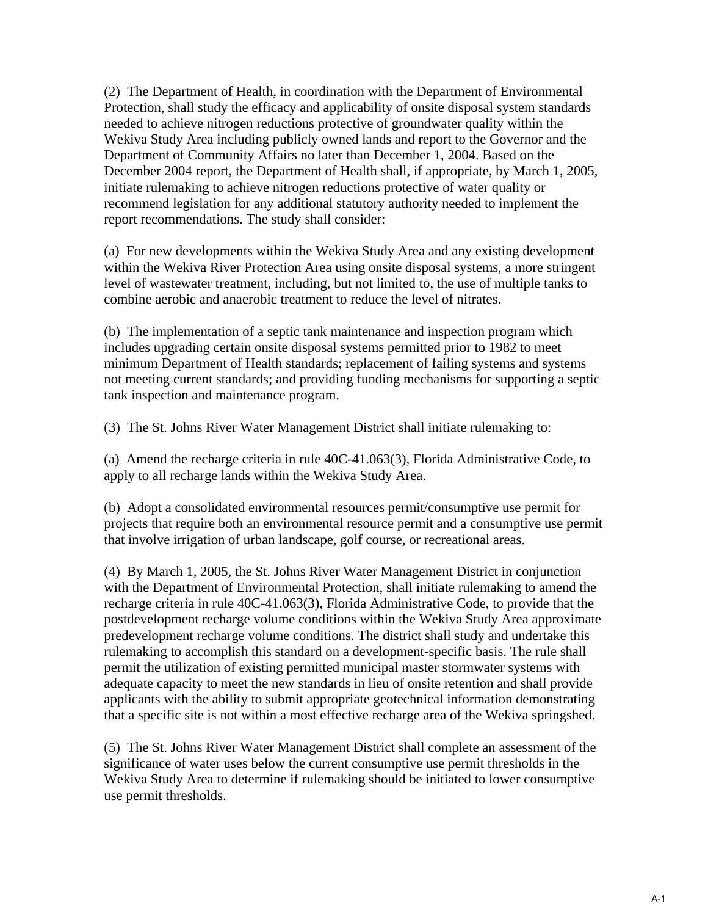(2) The Department of Health, in coordination with the Department of Environmental Protection, shall study the efficacy and applicability of onsite disposal system standards needed to achieve nitrogen reductions protective of groundwater quality within the Wekiva Study Area including publicly owned lands and report to the Governor and the Department of Community Affairs no later than December 1, 2004. Based on the December 2004 report, the Department of Health shall, if appropriate, by March 1, 2005, initiate rulemaking to achieve nitrogen reductions protective of water quality or recommend legislation for any additional statutory authority needed to implement the report recommendations. The study shall consider:

(a) For new developments within the Wekiva Study Area and any existing development within the Wekiva River Protection Area using onsite disposal systems, a more stringent level of wastewater treatment, including, but not limited to, the use of multiple tanks to combine aerobic and anaerobic treatment to reduce the level of nitrates.

(b) The implementation of a septic tank maintenance and inspection program which includes upgrading certain onsite disposal systems permitted prior to 1982 to meet minimum Department of Health standards; replacement of failing systems and systems not meeting current standards; and providing funding mechanisms for supporting a septic tank inspection and maintenance program.

(3) The St. Johns River Water Management District shall initiate rulemaking to:

(a) Amend the recharge criteria in rule 40C-41.063(3), Florida Administrative Code, to apply to all recharge lands within the Wekiva Study Area.

(b) Adopt a consolidated environmental resources permit/consumptive use permit for projects that require both an environmental resource permit and a consumptive use permit that involve irrigation of urban landscape, golf course, or recreational areas.

(4) By March 1, 2005, the St. Johns River Water Management District in conjunction with the Department of Environmental Protection, shall initiate rulemaking to amend the recharge criteria in rule 40C-41.063(3), Florida Administrative Code, to provide that the postdevelopment recharge volume conditions within the Wekiva Study Area approximate predevelopment recharge volume conditions. The district shall study and undertake this rulemaking to accomplish this standard on a development-specific basis. The rule shall permit the utilization of existing permitted municipal master stormwater systems with adequate capacity to meet the new standards in lieu of onsite retention and shall provide applicants with the ability to submit appropriate geotechnical information demonstrating that a specific site is not within a most effective recharge area of the Wekiva springshed.

(5) The St. Johns River Water Management District shall complete an assessment of the significance of water uses below the current consumptive use permit thresholds in the Wekiva Study Area to determine if rulemaking should be initiated to lower consumptive use permit thresholds.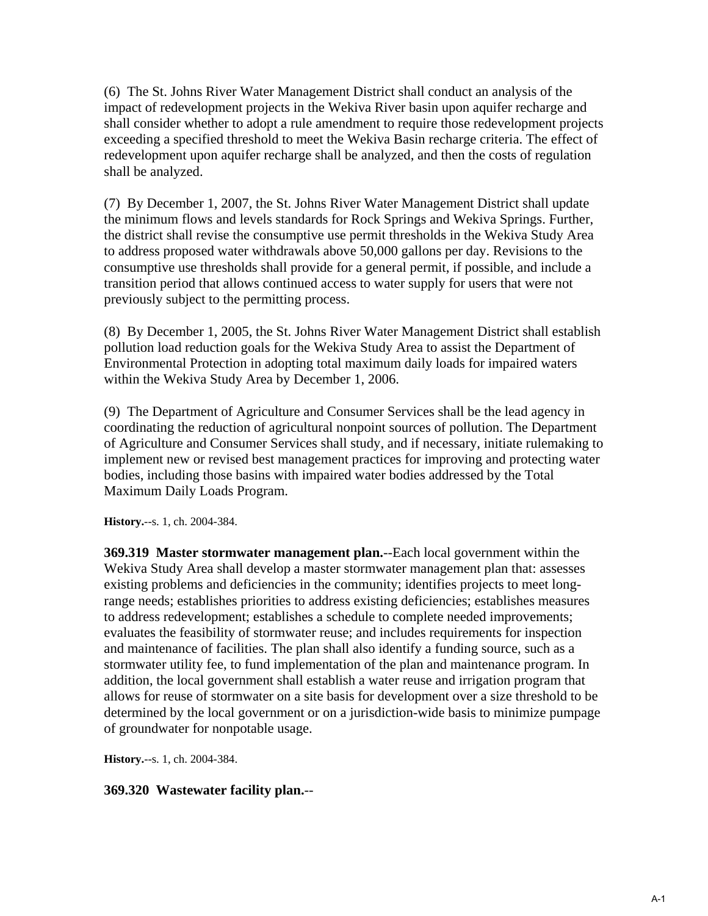(6) The St. Johns River Water Management District shall conduct an analysis of the impact of redevelopment projects in the Wekiva River basin upon aquifer recharge and shall consider whether to adopt a rule amendment to require those redevelopment projects exceeding a specified threshold to meet the Wekiva Basin recharge criteria. The effect of redevelopment upon aquifer recharge shall be analyzed, and then the costs of regulation shall be analyzed.

(7) By December 1, 2007, the St. Johns River Water Management District shall update the minimum flows and levels standards for Rock Springs and Wekiva Springs. Further, the district shall revise the consumptive use permit thresholds in the Wekiva Study Area to address proposed water withdrawals above 50,000 gallons per day. Revisions to the consumptive use thresholds shall provide for a general permit, if possible, and include a transition period that allows continued access to water supply for users that were not previously subject to the permitting process.

(8) By December 1, 2005, the St. Johns River Water Management District shall establish pollution load reduction goals for the Wekiva Study Area to assist the Department of Environmental Protection in adopting total maximum daily loads for impaired waters within the Wekiva Study Area by December 1, 2006.

(9) The Department of Agriculture and Consumer Services shall be the lead agency in coordinating the reduction of agricultural nonpoint sources of pollution. The Department of Agriculture and Consumer Services shall study, and if necessary, initiate rulemaking to implement new or revised best management practices for improving and protecting water bodies, including those basins with impaired water bodies addressed by the Total Maximum Daily Loads Program.

**History.**--s. 1, ch. 2004-384.

**369.319 Master stormwater management plan.**--Each local government within the Wekiva Study Area shall develop a master stormwater management plan that: assesses existing problems and deficiencies in the community; identifies projects to meet longrange needs; establishes priorities to address existing deficiencies; establishes measures to address redevelopment; establishes a schedule to complete needed improvements; evaluates the feasibility of stormwater reuse; and includes requirements for inspection and maintenance of facilities. The plan shall also identify a funding source, such as a stormwater utility fee, to fund implementation of the plan and maintenance program. In addition, the local government shall establish a water reuse and irrigation program that allows for reuse of stormwater on a site basis for development over a size threshold to be determined by the local government or on a jurisdiction-wide basis to minimize pumpage of groundwater for nonpotable usage.

**History.**--s. 1, ch. 2004-384.

## **369.320 Wastewater facility plan.**--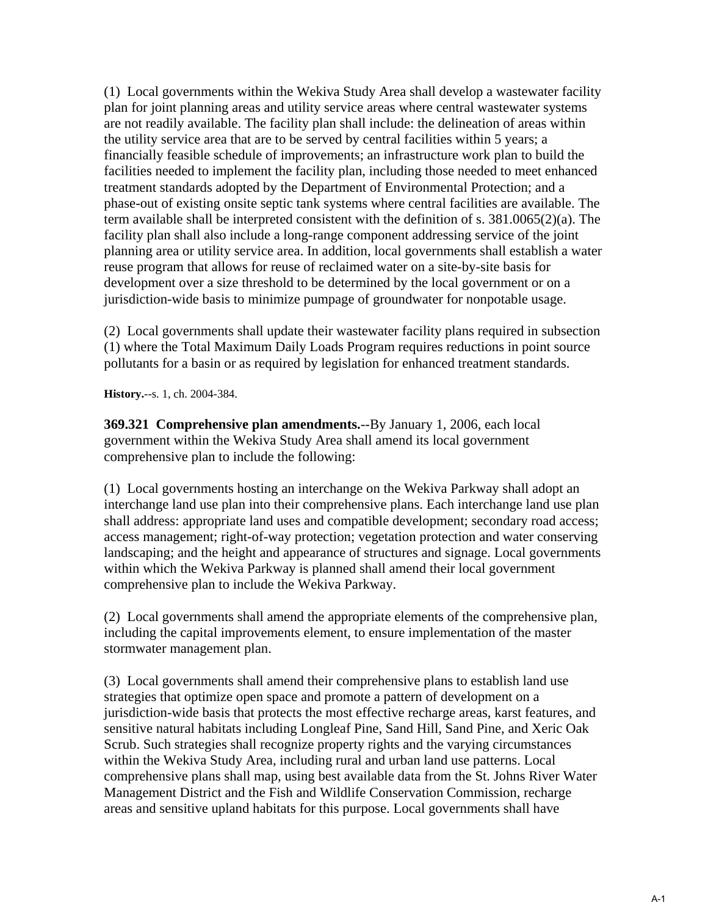(1) Local governments within the Wekiva Study Area shall develop a wastewater facility plan for joint planning areas and utility service areas where central wastewater systems are not readily available. The facility plan shall include: the delineation of areas within the utility service area that are to be served by central facilities within 5 years; a financially feasible schedule of improvements; an infrastructure work plan to build the facilities needed to implement the facility plan, including those needed to meet enhanced treatment standards adopted by the Department of Environmental Protection; and a phase-out of existing onsite septic tank systems where central facilities are available. The term available shall be interpreted consistent with the definition of s. 381.0065(2)(a). The facility plan shall also include a long-range component addressing service of the joint planning area or utility service area. In addition, local governments shall establish a water reuse program that allows for reuse of reclaimed water on a site-by-site basis for development over a size threshold to be determined by the local government or on a jurisdiction-wide basis to minimize pumpage of groundwater for nonpotable usage.

(2) Local governments shall update their wastewater facility plans required in subsection (1) where the Total Maximum Daily Loads Program requires reductions in point source pollutants for a basin or as required by legislation for enhanced treatment standards.

**History.**--s. 1, ch. 2004-384.

**369.321 Comprehensive plan amendments.**--By January 1, 2006, each local government within the Wekiva Study Area shall amend its local government comprehensive plan to include the following:

(1) Local governments hosting an interchange on the Wekiva Parkway shall adopt an interchange land use plan into their comprehensive plans. Each interchange land use plan shall address: appropriate land uses and compatible development; secondary road access; access management; right-of-way protection; vegetation protection and water conserving landscaping; and the height and appearance of structures and signage. Local governments within which the Wekiva Parkway is planned shall amend their local government comprehensive plan to include the Wekiva Parkway.

(2) Local governments shall amend the appropriate elements of the comprehensive plan, including the capital improvements element, to ensure implementation of the master stormwater management plan.

(3) Local governments shall amend their comprehensive plans to establish land use strategies that optimize open space and promote a pattern of development on a jurisdiction-wide basis that protects the most effective recharge areas, karst features, and sensitive natural habitats including Longleaf Pine, Sand Hill, Sand Pine, and Xeric Oak Scrub. Such strategies shall recognize property rights and the varying circumstances within the Wekiva Study Area, including rural and urban land use patterns. Local comprehensive plans shall map, using best available data from the St. Johns River Water Management District and the Fish and Wildlife Conservation Commission, recharge areas and sensitive upland habitats for this purpose. Local governments shall have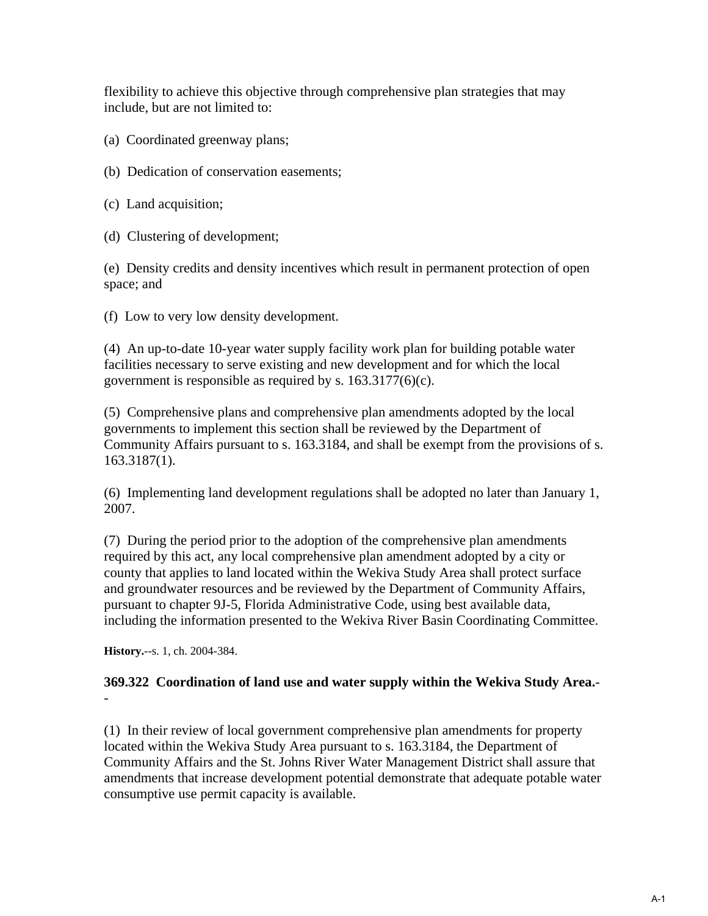flexibility to achieve this objective through comprehensive plan strategies that may include, but are not limited to:

- (a) Coordinated greenway plans;
- (b) Dedication of conservation easements;
- (c) Land acquisition;
- (d) Clustering of development;

(e) Density credits and density incentives which result in permanent protection of open space; and

(f) Low to very low density development.

(4) An up-to-date 10-year water supply facility work plan for building potable water facilities necessary to serve existing and new development and for which the local government is responsible as required by s. 163.3177(6)(c).

(5) Comprehensive plans and comprehensive plan amendments adopted by the local governments to implement this section shall be reviewed by the Department of Community Affairs pursuant to s. 163.3184, and shall be exempt from the provisions of s. 163.3187(1).

(6) Implementing land development regulations shall be adopted no later than January 1, 2007.

(7) During the period prior to the adoption of the comprehensive plan amendments required by this act, any local comprehensive plan amendment adopted by a city or county that applies to land located within the Wekiva Study Area shall protect surface and groundwater resources and be reviewed by the Department of Community Affairs, pursuant to chapter 9J-5, Florida Administrative Code, using best available data, including the information presented to the Wekiva River Basin Coordinating Committee.

**History.**--s. 1, ch. 2004-384.

### **369.322 Coordination of land use and water supply within the Wekiva Study Area.**- -

(1) In their review of local government comprehensive plan amendments for property located within the Wekiva Study Area pursuant to s. 163.3184, the Department of Community Affairs and the St. Johns River Water Management District shall assure that amendments that increase development potential demonstrate that adequate potable water consumptive use permit capacity is available.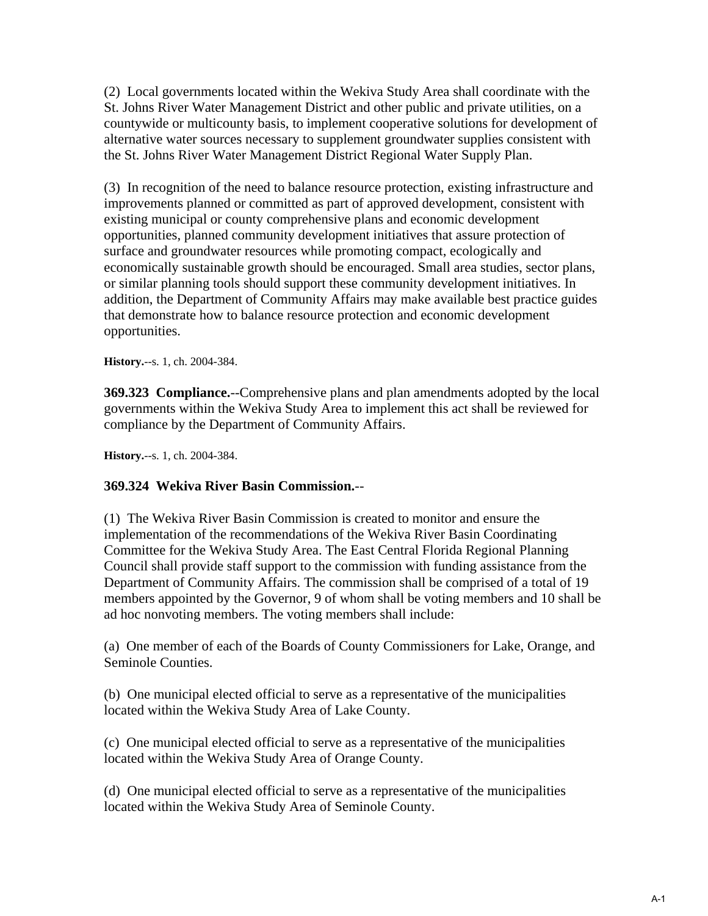(2) Local governments located within the Wekiva Study Area shall coordinate with the St. Johns River Water Management District and other public and private utilities, on a countywide or multicounty basis, to implement cooperative solutions for development of alternative water sources necessary to supplement groundwater supplies consistent with the St. Johns River Water Management District Regional Water Supply Plan.

(3) In recognition of the need to balance resource protection, existing infrastructure and improvements planned or committed as part of approved development, consistent with existing municipal or county comprehensive plans and economic development opportunities, planned community development initiatives that assure protection of surface and groundwater resources while promoting compact, ecologically and economically sustainable growth should be encouraged. Small area studies, sector plans, or similar planning tools should support these community development initiatives. In addition, the Department of Community Affairs may make available best practice guides that demonstrate how to balance resource protection and economic development opportunities.

**History.**--s. 1, ch. 2004-384.

**369.323 Compliance.**--Comprehensive plans and plan amendments adopted by the local governments within the Wekiva Study Area to implement this act shall be reviewed for compliance by the Department of Community Affairs.

**History.**--s. 1, ch. 2004-384.

## **369.324 Wekiva River Basin Commission.**--

(1) The Wekiva River Basin Commission is created to monitor and ensure the implementation of the recommendations of the Wekiva River Basin Coordinating Committee for the Wekiva Study Area. The East Central Florida Regional Planning Council shall provide staff support to the commission with funding assistance from the Department of Community Affairs. The commission shall be comprised of a total of 19 members appointed by the Governor, 9 of whom shall be voting members and 10 shall be ad hoc nonvoting members. The voting members shall include:

(a) One member of each of the Boards of County Commissioners for Lake, Orange, and Seminole Counties.

(b) One municipal elected official to serve as a representative of the municipalities located within the Wekiva Study Area of Lake County.

(c) One municipal elected official to serve as a representative of the municipalities located within the Wekiva Study Area of Orange County.

(d) One municipal elected official to serve as a representative of the municipalities located within the Wekiva Study Area of Seminole County.